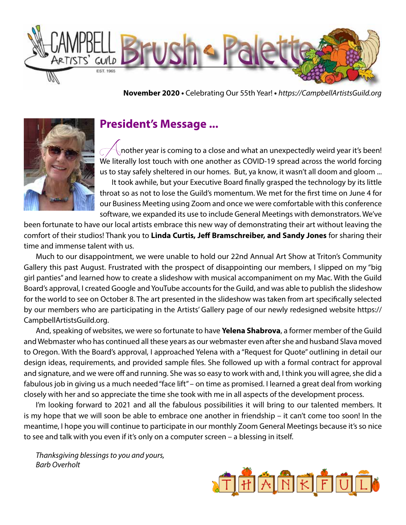

**November 2020 •** Celebrating Our 55th Year! **•** *https://CampbellArtistsGuild.org*



## **President's Message ...**

*A*nother year is coming to a close and what an unexpectedly weird year it's been! We literally lost touch with one another as COVID-19 spread across the world forcing us to stay safely sheltered in our homes. But, ya know, it wasn't all doom and gloom ... It took awhile, but your Executive Board finally grasped the technology by its little throat so as not to lose the Guild's momentum. We met for the first time on June 4 for our Business Meeting using Zoom and once we were comfortable with this conference software, we expanded its use to include General Meetings with demonstrators. We've

been fortunate to have our local artists embrace this new way of demonstrating their art without leaving the comfort of their studios! Thank you to **Linda Curtis, Jeff Bramschreiber, and Sandy Jones** for sharing their time and immense talent with us.

Much to our disappointment, we were unable to hold our 22nd Annual Art Show at Triton's Community Gallery this past August. Frustrated with the prospect of disappointing our members, I slipped on my "big girl panties" and learned how to create a slideshow with musical accompaniment on my Mac. With the Guild Board's approval, I created Google and YouTube accounts for the Guild, and was able to publish the slideshow for the world to see on October 8. The art presented in the slideshow was taken from art specifically selected by our members who are participating in the Artists' Gallery page of our newly redesigned website https:// CampbellArtistsGuild.org.

And, speaking of websites, we were so fortunate to have **Yelena Shabrova**, a former member of the Guild and Webmaster who has continued all these years as our webmaster even after she and husband Slava moved to Oregon. With the Board's approval, I approached Yelena with a "Request for Quote" outlining in detail our design ideas, requirements, and provided sample files. She followed up with a formal contract for approval and signature, and we were off and running. She was so easy to work with and, I think you will agree, she did a fabulous job in giving us a much needed "face lift" – on time as promised. I learned a great deal from working closely with her and so appreciate the time she took with me in all aspects of the development process.

I'm looking forward to 2021 and all the fabulous possibilities it will bring to our talented members. It is my hope that we will soon be able to embrace one another in friendship – it can't come too soon! In the meantime, I hope you will continue to participate in our monthly Zoom General Meetings because it's so nice to see and talk with you even if it's only on a computer screen – a blessing in itself.

*Thanksgiving blessings to you and yours, Barb Overholt*

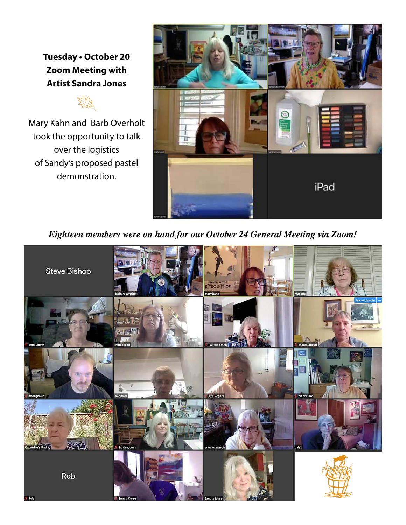**Tuesday • October 20 Zoom Meeting with Artist Sandra Jones**



Mary Kahn and Barb Overholt took the opportunity to talk over the logistics of Sandy's proposed pastel demonstration.



*Eighteen members were on hand for our October 24 General Meeting via Zoom!*

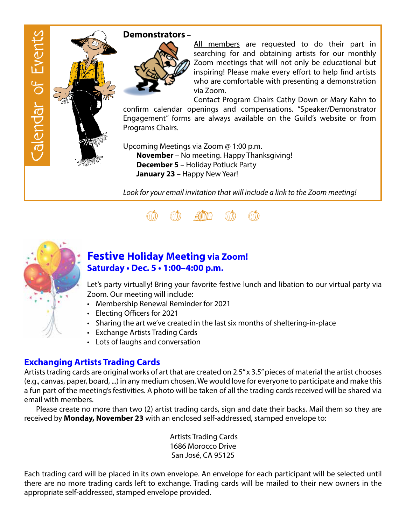

#### **Demonstrators** –



All members are requested to do their part in searching for and obtaining artists for our monthly Zoom meetings that will not only be educational but inspiring! Please make every effort to help find artists who are comfortable with presenting a demonstration via Zoom.

Contact Program Chairs Cathy Down or Mary Kahn to confirm calendar openings and compensations. "Speaker/Demonstrator Engagement" forms are always available on the Guild's website or from Programs Chairs.

Upcoming Meetings via Zoom @ 1:00 p.m.  **November** – No meeting. Happy Thanksgiving! **December 5** – Holiday Potluck Party  **January 23** – Happy New Year!

*Look for your email invitation that will include a link to the Zoom meeting!*





### **Festive Holiday Meeting via Zoom! Saturday • Dec. 5 • 1:00–4:00 p.m.**

Let's party virtually! Bring your favorite festive lunch and libation to our virtual party via Zoom. Our meeting will include:

- • Membership Renewal Reminder for 2021
- Electing Officers for 2021
- Sharing the art we've created in the last six months of sheltering-in-place
- Exchange Artists Trading Cards
- Lots of laughs and conversation

#### **Exchanging Artists Trading Cards**

Artists trading cards are original works of art that are created on 2.5" x 3.5" pieces of material the artist chooses (e.g., canvas, paper, board, ...) in any medium chosen. We would love for everyone to participate and make this a fun part of the meeting's festivities. A photo will be taken of all the trading cards received will be shared via email with members.

Please create no more than two (2) artist trading cards, sign and date their backs. Mail them so they are received by **Monday, November 23** with an enclosed self-addressed, stamped envelope to:

> Artists Trading Cards 1686 Morocco Drive San José, CA 95125

Each trading card will be placed in its own envelope. An envelope for each participant will be selected until there are no more trading cards left to exchange. Trading cards will be mailed to their new owners in the appropriate self-addressed, stamped envelope provided.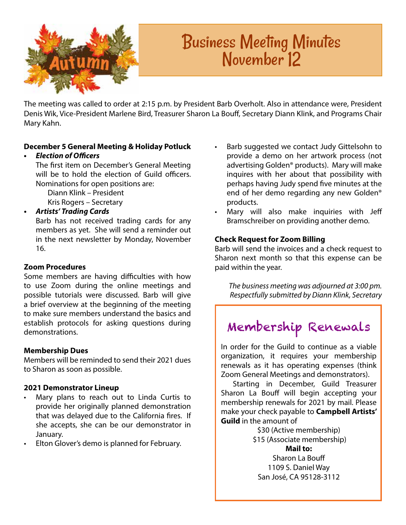

# Business Meeting Minutes November 12

The meeting was called to order at 2:15 p.m. by President Barb Overholt. Also in attendance were, President Denis Wik, Vice-President Marlene Bird, Treasurer Sharon La Bouff, Secretary Diann Klink, and Programs Chair Mary Kahn.

#### **December 5 General Meeting & Holiday Potluck**

#### **• Election of Officers**

The first item on December's General Meeting will be to hold the election of Guild officers. Nominations for open positions are:

 Diann Klink – President Kris Rogers – Secretary

#### **• Artists' Trading Cards**

Barb has not received trading cards for any members as yet. She will send a reminder out in the next newsletter by Monday, November 16.

#### **Zoom Procedures**

Some members are having difficulties with how to use Zoom during the online meetings and possible tutorials were discussed. Barb will give a brief overview at the beginning of the meeting to make sure members understand the basics and establish protocols for asking questions during demonstrations.

#### **Membership Dues**

Members will be reminded to send their 2021 dues to Sharon as soon as possible.

#### **2021 Demonstrator Lineup**

- Mary plans to reach out to Linda Curtis to provide her originally planned demonstration that was delayed due to the California fires. If she accepts, she can be our demonstrator in January.
- Elton Glover's demo is planned for February.
- Barb suggested we contact Judy Gittelsohn to provide a demo on her artwork process (not advertising Golden® products). Mary will make inquires with her about that possibility with perhaps having Judy spend five minutes at the end of her demo regarding any new Golden® products.
- Mary will also make inquiries with Jeff Bramschreiber on providing another demo.

#### **Check Request for Zoom Billing**

Barb will send the invoices and a check request to Sharon next month so that this expense can be paid within the year.

*The business meeting was adjourned at 3:00 pm. Respectfully submitted by Diann Klink, Secretary*

## Membership Renewals

In order for the Guild to continue as a viable organization, it requires your membership renewals as it has operating expenses (think Zoom General Meetings and demonstrators).

Starting in December, Guild Treasurer Sharon La Bouff will begin accepting your membership renewals for 2021 by mail. Please make your check payable to **Campbell Artists' Guild** in the amount of

\$30 (Active membership) \$15 (Associate membership)

**Mail to:** Sharon La Bouff 1109 S. Daniel Way San José, CA 95128-3112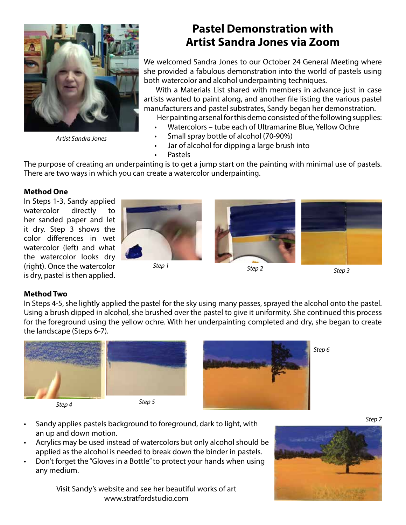

*Artist Sandra Jones*

## **Pastel Demonstration with Artist Sandra Jones via Zoom**

We welcomed Sandra Jones to our October 24 General Meeting where she provided a fabulous demonstration into the world of pastels using both watercolor and alcohol underpainting techniques.

With a Materials List shared with members in advance just in case artists wanted to paint along, and another file listing the various pastel manufacturers and pastel substrates, Sandy began her demonstration.

- Her painting arsenal for this demo consisted of the following supplies:
- Watercolors tube each of Ultramarine Blue, Yellow Ochre
- Small spray bottle of alcohol (70-90%)
- Jar of alcohol for dipping a large brush into
- Pastels

The purpose of creating an underpainting is to get a jump start on the painting with minimal use of pastels. There are two ways in which you can create a watercolor underpainting.

#### **Method One**

In Steps 1-3, Sandy applied watercolor directly to her sanded paper and let it dry. Step 3 shows the color differences in wet watercolor (left) and what the watercolor looks dry (right). Once the watercolor is dry, pastel is then applied.





#### **Method Two**

In Steps 4-5, she lightly applied the pastel for the sky using many passes, sprayed the alcohol onto the pastel. Using a brush dipped in alcohol, she brushed over the pastel to give it uniformity. She continued this process for the foreground using the yellow ochre. With her underpainting completed and dry, she began to create the landscape (Steps 6-7).



- Sandy applies pastels background to foreground, dark to light, with an up and down motion.
- Acrylics may be used instead of watercolors but only alcohol should be applied as the alcohol is needed to break down the binder in pastels.
- Don't forget the "Gloves in a Bottle" to protect your hands when using any medium.

Visit Sandy's website and see her beautiful works of art www.stratfordstudio.com



*Step 7*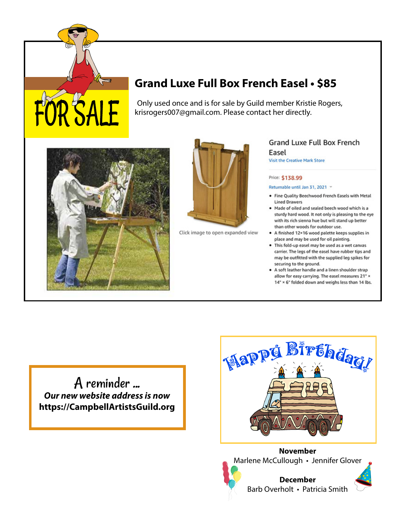## **Grand Luxe Full Box French Easel • \$85**

Only used once and is for sale by Guild member Kristie Rogers, krisrogers007@gmail.com. Please contact her directly.



OR SALE



Click image to open expanded view

#### Grand Luxe Full Box French Easel

Visit the Creative Mark Store

#### Price: \$138.99

Returnable until Jan 31, 2021 v

- . Fine Quality Beechwood French Easels with Metal **Lined Drawers**
- . Made of oiled and sealed beech wood which is a sturdy hard wood. It not only is pleasing to the eye with its rich sienna hue but will stand up better than other woods for outdoor use.
- A finished 12×16 wood palette keeps supplies in place and may be used for oil painting.
- . This fold-up easel may be used as a wet canvas carrier. The legs of the easel have rubber tips and may be outfitted with the supplied leg spikes for securing to the ground.
- A soft leather handle and a linen shoulder strap allow for easy carrying. The easel measures 21" x 14" × 6" folded down and weighs less than 14 lbs.

A reminder ... **Our new website address is now https://CampbellArtistsGuild.org**



**November** Marlene McCullough • Jennifer Glover



![](_page_5_Picture_18.jpeg)